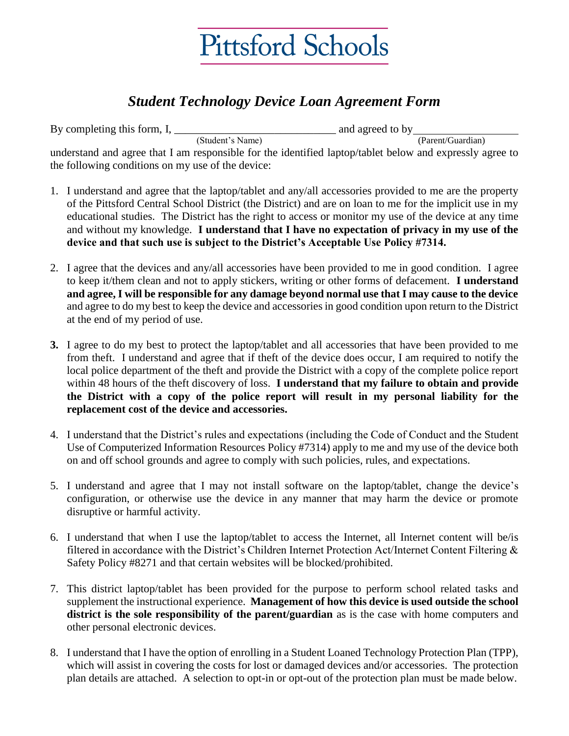

## *Student Technology Device Loan Agreement Form*

By completing this form,  $I$ ,  $\frac{1}{\text{(Student's Name)}}$ and agreed to by  $\frac{1}{(Parent/Guardian)}$ understand and agree that I am responsible for the identified laptop/tablet below and expressly agree to the following conditions on my use of the device:

- 1. I understand and agree that the laptop/tablet and any/all accessories provided to me are the property of the Pittsford Central School District (the District) and are on loan to me for the implicit use in my educational studies. The District has the right to access or monitor my use of the device at any time and without my knowledge. **I understand that I have no expectation of privacy in my use of the device and that such use is subject to the District's Acceptable Use Policy #7314.**
- 2. I agree that the devices and any/all accessories have been provided to me in good condition. I agree to keep it/them clean and not to apply stickers, writing or other forms of defacement. **I understand and agree, I will be responsible for any damage beyond normal use that I may cause to the device** and agree to do my best to keep the device and accessories in good condition upon return to the District at the end of my period of use.
- **3.** I agree to do my best to protect the laptop/tablet and all accessories that have been provided to me from theft. I understand and agree that if theft of the device does occur, I am required to notify the local police department of the theft and provide the District with a copy of the complete police report within 48 hours of the theft discovery of loss. **I understand that my failure to obtain and provide the District with a copy of the police report will result in my personal liability for the replacement cost of the device and accessories.**
- 4. I understand that the District's rules and expectations (including the Code of Conduct and the Student Use of Computerized Information Resources Policy #7314) apply to me and my use of the device both on and off school grounds and agree to comply with such policies, rules, and expectations.
- 5. I understand and agree that I may not install software on the laptop/tablet, change the device's configuration, or otherwise use the device in any manner that may harm the device or promote disruptive or harmful activity.
- 6. I understand that when I use the laptop/tablet to access the Internet, all Internet content will be/is filtered in accordance with the District's Children Internet Protection Act/Internet Content Filtering & Safety Policy #8271 and that certain websites will be blocked/prohibited.
- 7. This district laptop/tablet has been provided for the purpose to perform school related tasks and supplement the instructional experience. **Management of how this device is used outside the school district is the sole responsibility of the parent/guardian** as is the case with home computers and other personal electronic devices.
- 8. I understand that I have the option of enrolling in a Student Loaned Technology Protection Plan (TPP), which will assist in covering the costs for lost or damaged devices and/or accessories. The protection plan details are attached. A selection to opt-in or opt-out of the protection plan must be made below.